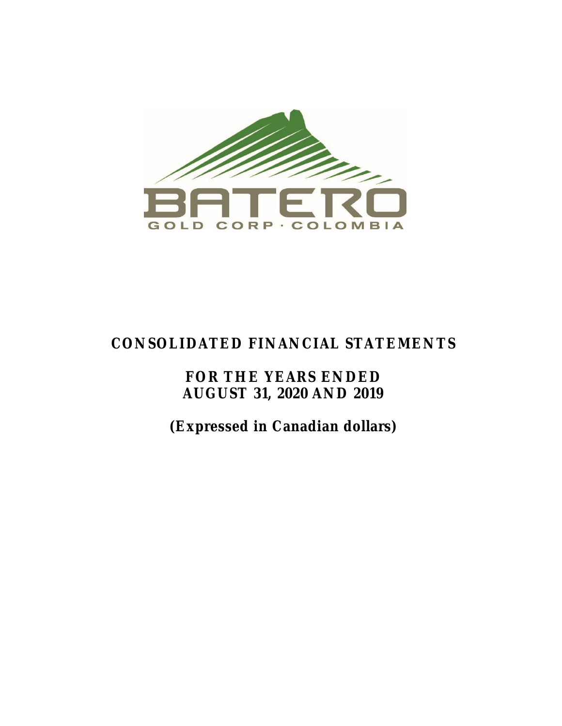

# **CONSOLIDATED FINANCIAL STATEMENTS**

**FOR THE YEARS ENDED AUGUST 31, 2020 AND 2019**

**(Expressed in Canadian dollars)**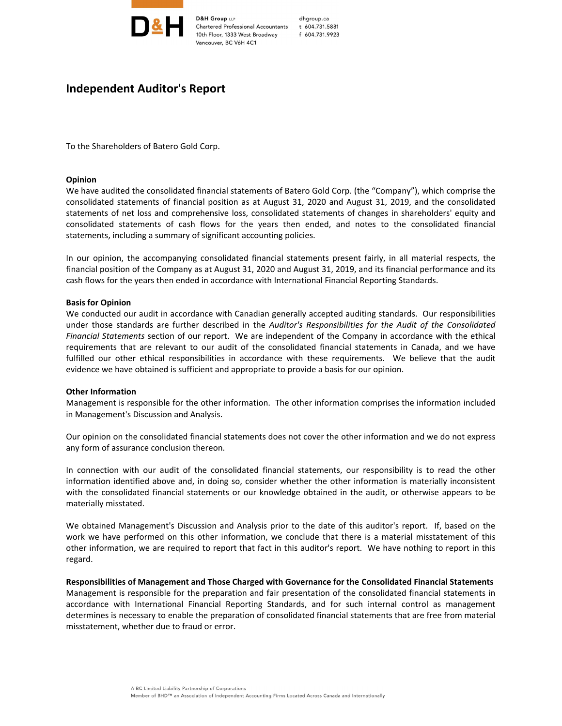

**D&H Group LLP** Chartered Professional Accountants 10th Floor, 1333 West Broadway Vancouver, BC V6H 4C1

dhgroup.ca t 604.731.5881 f 604.731.9923

## **Independent Auditor's Report**

To the Shareholders of Batero Gold Corp.

#### **Opinion**

We have audited the consolidated financial statements of Batero Gold Corp. (the "Company"), which comprise the consolidated statements of financial position as at August 31, 2020 and August 31, 2019, and the consolidated statements of net loss and comprehensive loss, consolidated statements of changes in shareholders' equity and consolidated statements of cash flows for the years then ended, and notes to the consolidated financial statements, including a summary of significant accounting policies.

In our opinion, the accompanying consolidated financial statements present fairly, in all material respects, the financial position of the Company as at August 31, 2020 and August 31, 2019, and its financial performance and its cash flows for the years then ended in accordance with International Financial Reporting Standards.

#### **Basis for Opinion**

We conducted our audit in accordance with Canadian generally accepted auditing standards. Our responsibilities under those standards are further described in the *Auditor's Responsibilities for the Audit of the Consolidated Financial Statements* section of our report. We are independent of the Company in accordance with the ethical requirements that are relevant to our audit of the consolidated financial statements in Canada, and we have fulfilled our other ethical responsibilities in accordance with these requirements. We believe that the audit evidence we have obtained is sufficient and appropriate to provide a basis for our opinion.

#### **Other Information**

Management is responsible for the other information. The other information comprises the information included in Management's Discussion and Analysis.

Our opinion on the consolidated financial statements does not cover the other information and we do not express any form of assurance conclusion thereon.

In connection with our audit of the consolidated financial statements, our responsibility is to read the other information identified above and, in doing so, consider whether the other information is materially inconsistent with the consolidated financial statements or our knowledge obtained in the audit, or otherwise appears to be materially misstated.

We obtained Management's Discussion and Analysis prior to the date of this auditor's report. If, based on the work we have performed on this other information, we conclude that there is a material misstatement of this other information, we are required to report that fact in this auditor's report. We have nothing to report in this regard.

**Responsibilities of Management and Those Charged with Governance for the Consolidated Financial Statements** Management is responsible for the preparation and fair presentation of the consolidated financial statements in accordance with International Financial Reporting Standards, and for such internal control as management determines is necessary to enable the preparation of consolidated financial statements that are free from material misstatement, whether due to fraud or error.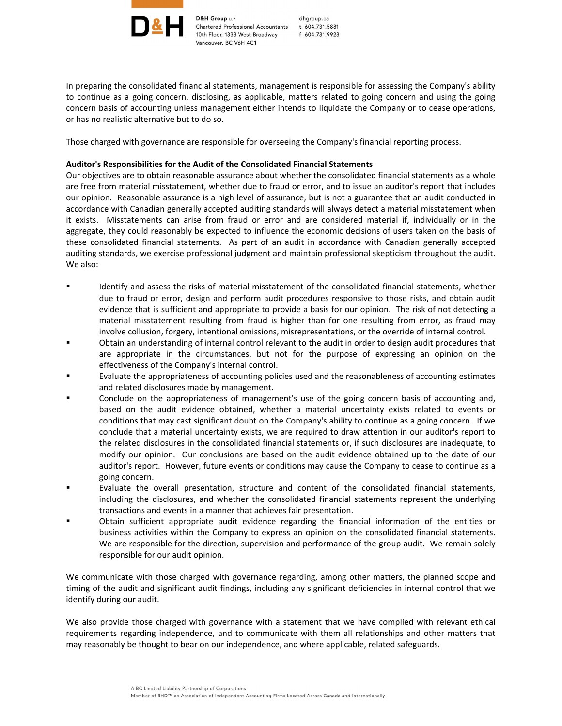

**D&H Group LLP** Chartered Professional Accountants 10th Floor, 1333 West Broadway Vancouver, BC V6H 4C1

dhgroup.ca t 604.731.5881 f 604.731.9923

In preparing the consolidated financial statements, management is responsible for assessing the Company's ability to continue as a going concern, disclosing, as applicable, matters related to going concern and using the going concern basis of accounting unless management either intends to liquidate the Company or to cease operations, or has no realistic alternative but to do so.

Those charged with governance are responsible for overseeing the Company's financial reporting process.

#### **Auditor's Responsibilities for the Audit of the Consolidated Financial Statements**

Our objectives are to obtain reasonable assurance about whether the consolidated financial statements as a whole are free from material misstatement, whether due to fraud or error, and to issue an auditor's report that includes our opinion. Reasonable assurance is a high level of assurance, but is not a guarantee that an audit conducted in accordance with Canadian generally accepted auditing standards will always detect a material misstatement when it exists. Misstatements can arise from fraud or error and are considered material if, individually or in the aggregate, they could reasonably be expected to influence the economic decisions of users taken on the basis of these consolidated financial statements. As part of an audit in accordance with Canadian generally accepted auditing standards, we exercise professional judgment and maintain professional skepticism throughout the audit. We also:

- Identify and assess the risks of material misstatement of the consolidated financial statements, whether due to fraud or error, design and perform audit procedures responsive to those risks, and obtain audit evidence that is sufficient and appropriate to provide a basis for our opinion. The risk of not detecting a material misstatement resulting from fraud is higher than for one resulting from error, as fraud may involve collusion, forgery, intentional omissions, misrepresentations, or the override of internal control.
- Obtain an understanding of internal control relevant to the audit in order to design audit procedures that are appropriate in the circumstances, but not for the purpose of expressing an opinion on the effectiveness of the Company's internal control.
- Evaluate the appropriateness of accounting policies used and the reasonableness of accounting estimates and related disclosures made by management.
- Conclude on the appropriateness of management's use of the going concern basis of accounting and, based on the audit evidence obtained, whether a material uncertainty exists related to events or conditions that may cast significant doubt on the Company's ability to continue as a going concern. If we conclude that a material uncertainty exists, we are required to draw attention in our auditor's report to the related disclosures in the consolidated financial statements or, if such disclosures are inadequate, to modify our opinion. Our conclusions are based on the audit evidence obtained up to the date of our auditor's report. However, future events or conditions may cause the Company to cease to continue as a going concern.
- Evaluate the overall presentation, structure and content of the consolidated financial statements, including the disclosures, and whether the consolidated financial statements represent the underlying transactions and events in a manner that achieves fair presentation.
- Obtain sufficient appropriate audit evidence regarding the financial information of the entities or business activities within the Company to express an opinion on the consolidated financial statements. We are responsible for the direction, supervision and performance of the group audit. We remain solely responsible for our audit opinion.

We communicate with those charged with governance regarding, among other matters, the planned scope and timing of the audit and significant audit findings, including any significant deficiencies in internal control that we identify during our audit.

We also provide those charged with governance with a statement that we have complied with relevant ethical requirements regarding independence, and to communicate with them all relationships and other matters that may reasonably be thought to bear on our independence, and where applicable, related safeguards.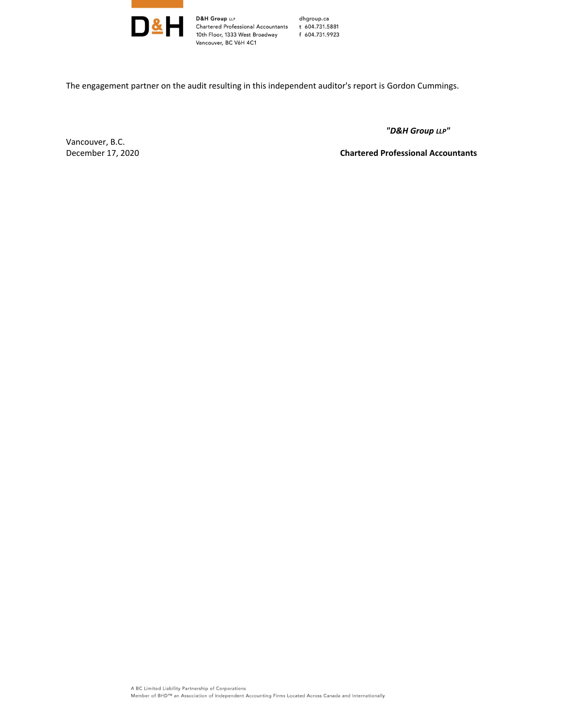

D&H Group LLP<br>Chartered Professional Accountants t 604.731.5881<br>10th Floor, 1333 West Broadway f 604.731.9923 10th Floor, 1333 West Broadway f 604.731.9923 Vancouver, BC V6H 4C1

The engagement partner on the audit resulting in this independent auditor's report is Gordon Cummings.

 *"D&H Group LLP"*

Vancouver, B.C.

December 17, 2020 **Chartered Professional Accountants**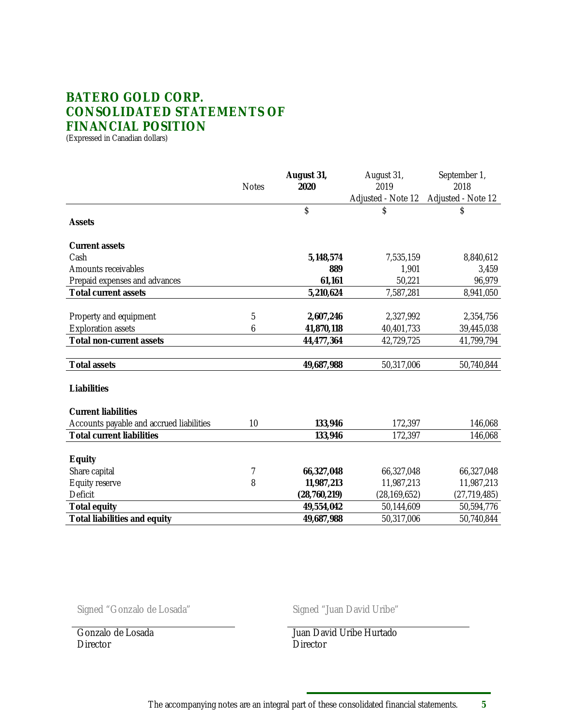## **BATERO GOLD CORP. CONSOLIDATED STATEMENTS OF FINANCIAL POSITION**

(Expressed in Canadian dollars)

|                                          | <b>Notes</b> | August 31,<br>2020 | August 31,<br>2019 | September 1,<br>2018 |
|------------------------------------------|--------------|--------------------|--------------------|----------------------|
|                                          |              |                    | Adjusted - Note 12 | Adjusted - Note 12   |
|                                          |              | \$                 | \$                 | \$                   |
| Assets                                   |              |                    |                    |                      |
| <b>Current assets</b>                    |              |                    |                    |                      |
| Cash                                     |              | 5,148,574          | 7,535,159          | 8,840,612            |
| Amounts receivables                      |              | 889                | 1,901              | 3,459                |
| Prepaid expenses and advances            |              | 61,161             | 50,221             | 96,979               |
| <b>Total current assets</b>              |              | 5,210,624          | 7,587,281          | 8,941,050            |
|                                          |              |                    |                    |                      |
| Property and equipment                   | 5            | 2,607,246          | 2,327,992          | 2,354,756            |
| <b>Exploration assets</b>                | 6            | 41,870,118         | 40,401,733         | 39,445,038           |
| Total non-current assets                 |              | 44,477,364         | 42,729,725         | 41,799,794           |
|                                          |              |                    |                    |                      |
| <b>Total assets</b>                      |              | 49,687,988         | 50,317,006         | 50,740,844           |
|                                          |              |                    |                    |                      |
| Liabilities                              |              |                    |                    |                      |
|                                          |              |                    |                    |                      |
| <b>Current liabilities</b>               |              |                    |                    |                      |
| Accounts payable and accrued liabilities | 10           | 133,946            | 172,397            | 146,068              |
| <b>Total current liabilities</b>         |              | 133,946            | 172,397            | 146,068              |
|                                          |              |                    |                    |                      |
| Equity                                   |              |                    |                    |                      |
| Share capital                            | 7            | 66,327,048         | 66,327,048         | 66,327,048           |
| Equity reserve                           | 8            | 11,987,213         | 11,987,213         | 11,987,213           |
| Deficit                                  |              | (28, 760, 219)     | (28, 169, 652)     | (27, 719, 485)       |
| Total equity                             |              | 49,554,042         | 50,144,609         | 50,594,776           |
| Total liabilities and equity             |              | 49,687,988         | 50,317,006         | 50,740,844           |

Signed "Gonzalo de Losada" Signed "Juan David Uribe"

Gonzalo de Losada Juan David Uribe Hurtado Director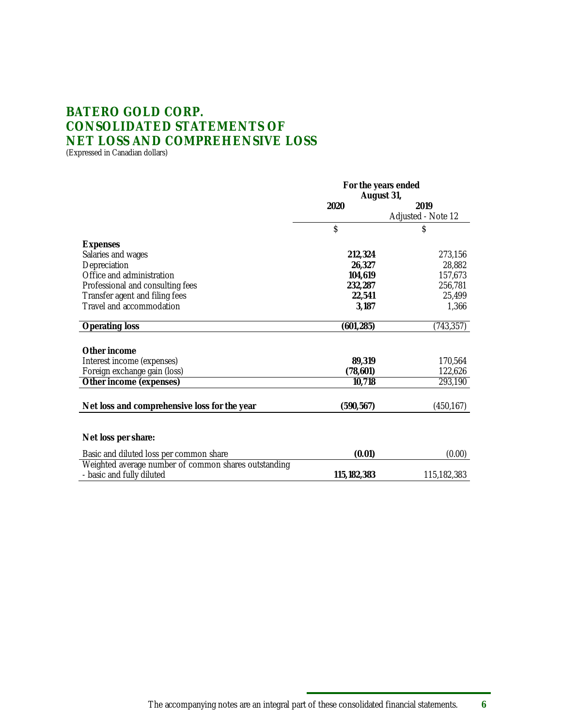# **BATERO GOLD CORP. CONSOLIDATED STATEMENTS OF NET LOSS AND COMPREHENSIVE LOSS**

(Expressed in Canadian dollars)

|                                                                                   | For the years ended |                    |  |
|-----------------------------------------------------------------------------------|---------------------|--------------------|--|
|                                                                                   | August 31,          |                    |  |
|                                                                                   | 2020                | 2019               |  |
|                                                                                   |                     | Adjusted - Note 12 |  |
|                                                                                   | \$                  | \$                 |  |
| Expenses                                                                          |                     |                    |  |
| Salaries and wages                                                                | 212,324             | 273,156            |  |
| Depreciation                                                                      | 26.327              | 28,882             |  |
| Office and administration                                                         | 104.619             | 157,673            |  |
| Professional and consulting fees                                                  | 232,287             | 256,781            |  |
| Transfer agent and filing fees                                                    | 22,541              | 25,499             |  |
| Travel and accommodation                                                          | 3,187               | 1,366              |  |
| Operating loss                                                                    | (601, 285)          | (743, 357)         |  |
|                                                                                   |                     |                    |  |
| Other income                                                                      |                     |                    |  |
| Interest income (expenses)                                                        | 89,319              | 170,564            |  |
| Foreign exchange gain (loss)                                                      | (78,601)            | 122,626            |  |
| Other income (expenses)                                                           | 10,718              | 293,190            |  |
|                                                                                   |                     |                    |  |
| Net loss and comprehensive loss for the year                                      | (590, 567)          | (450, 167)         |  |
|                                                                                   |                     |                    |  |
| Net loss per share:                                                               |                     |                    |  |
| Basic and diluted loss per common share                                           | (0.01)              | (0.00)             |  |
| Weighted average number of common shares outstanding<br>- basic and fully diluted |                     |                    |  |
|                                                                                   | 115, 182, 383       | 115,182,383        |  |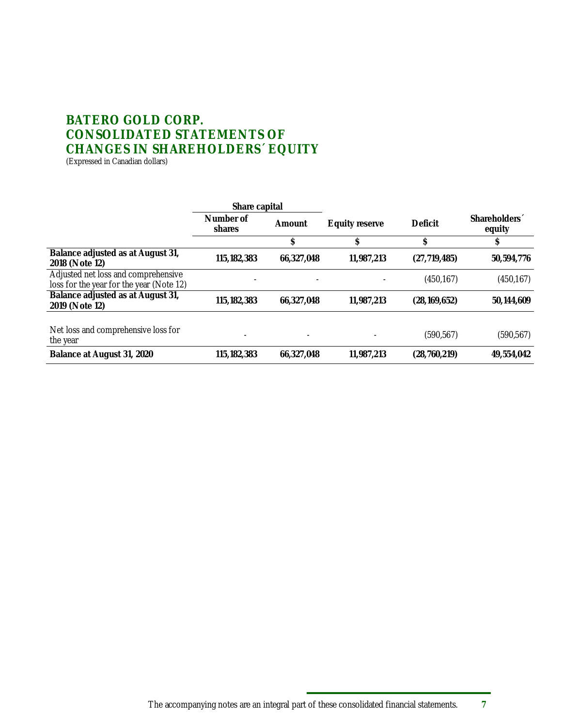## **BATERO GOLD CORP. CONSOLIDATED STATEMENTS OF CHANGES IN SHAREHOLDERS´ EQUITY** (Expressed in Canadian dollars)

|                                                                                 | Share capital       |            |                |                |                                     |
|---------------------------------------------------------------------------------|---------------------|------------|----------------|----------------|-------------------------------------|
|                                                                                 | Number of<br>shares | Amount     | Equity reserve | Deficit        | Shareholders <sup>1</sup><br>equity |
|                                                                                 |                     | \$         |                |                |                                     |
| Balance adjusted as at August 31,<br>2018 (Note 12)                             | 115, 182, 383       | 66,327,048 | 11,987,213     | (27, 719, 485) | 50,594,776                          |
| Adjusted net loss and comprehensive<br>loss for the year for the year (Note 12) |                     |            |                | (450, 167)     | (450, 167)                          |
| Balance adjusted as at August 31,<br>2019 (Note 12)                             | 115, 182, 383       | 66,327,048 | 11,987,213     | (28, 169, 652) | 50, 144, 609                        |
|                                                                                 |                     |            |                |                |                                     |
| Net loss and comprehensive loss for<br>the year                                 |                     |            |                | (590, 567)     | (590, 567)                          |
| Balance at August 31, 2020                                                      | 115, 182, 383       | 66.327.048 | 11,987,213     | (28, 760, 219) | 49,554,042                          |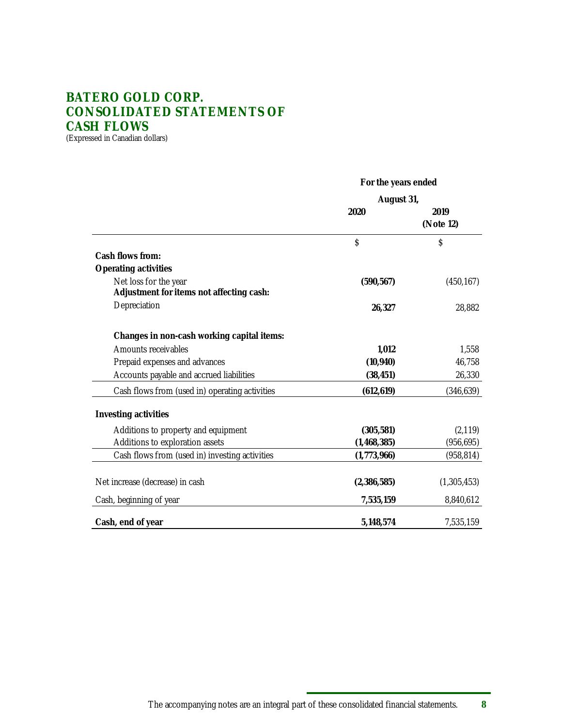# **BATERO GOLD CORP. CONSOLIDATED STATEMENTS OF CASH FLOWS**

(Expressed in Canadian dollars)

|                                                                   | For the years ended<br>August 31, |                   |  |
|-------------------------------------------------------------------|-----------------------------------|-------------------|--|
|                                                                   |                                   |                   |  |
|                                                                   | 2020                              | 2019<br>(Note 12) |  |
|                                                                   | \$                                | \$                |  |
| Cash flows from:                                                  |                                   |                   |  |
| Operating activities                                              |                                   |                   |  |
| Net loss for the year<br>Adjustment for items not affecting cash: | (590, 567)                        | (450, 167)        |  |
| Depreciation                                                      | 26,327                            | 28,882            |  |
| Changes in non-cash working capital items:                        |                                   |                   |  |
| Amounts receivables                                               | 1,012                             | 1,558             |  |
| Prepaid expenses and advances                                     | (10, 940)                         | 46,758            |  |
| Accounts payable and accrued liabilities                          | (38, 451)                         | 26,330            |  |
| Cash flows from (used in) operating activities                    | (612, 619)                        | (346, 639)        |  |
| Investing activities                                              |                                   |                   |  |
| Additions to property and equipment                               | (305, 581)                        | (2, 119)          |  |
| Additions to exploration assets                                   | (1, 468, 385)                     | (956, 695)        |  |
| Cash flows from (used in) investing activities                    | (1,773,966)                       | (958, 814)        |  |
| Net increase (decrease) in cash                                   | (2,386,585)                       | (1,305,453)       |  |
| Cash, beginning of year                                           | 7,535,159                         | 8,840,612         |  |
| Cash, end of year                                                 | 5,148,574                         | 7,535,159         |  |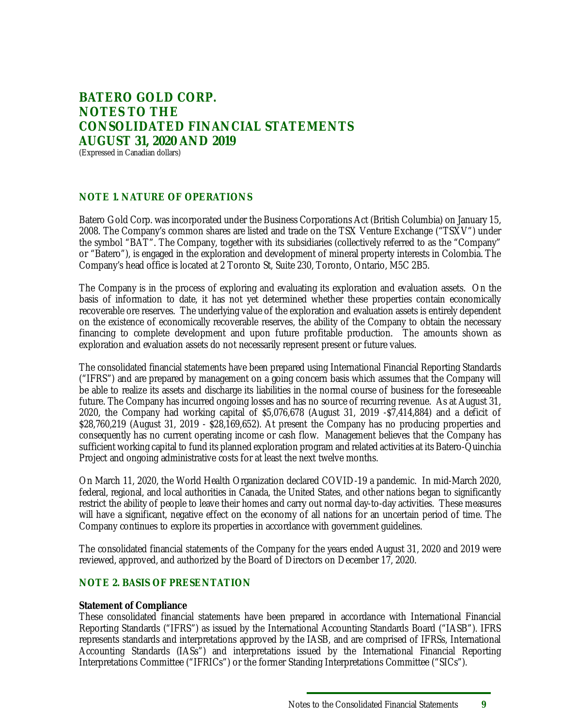## **BATERO GOLD CORP. NOTES TO THE CONSOLIDATED FINANCIAL STATEMENTS AUGUST 31, 2020 AND 2019** (Expressed in Canadian dollars)

### **NOTE 1. NATURE OF OPERATIONS**

Batero Gold Corp. was incorporated under the Business Corporations Act (British Columbia) on January 15, 2008. The Company's common shares are listed and trade on the TSX Venture Exchange ("TSXV") under the symbol "BAT". The Company, together with its subsidiaries (collectively referred to as the "Company" or "Batero"), is engaged in the exploration and development of mineral property interests in Colombia. The Company's head office is located at 2 Toronto St, Suite 230, Toronto, Ontario, M5C 2B5.

The Company is in the process of exploring and evaluating its exploration and evaluation assets. On the basis of information to date, it has not yet determined whether these properties contain economically recoverable ore reserves. The underlying value of the exploration and evaluation assets is entirely dependent on the existence of economically recoverable reserves, the ability of the Company to obtain the necessary financing to complete development and upon future profitable production. The amounts shown as exploration and evaluation assets do not necessarily represent present or future values.

The consolidated financial statements have been prepared using International Financial Reporting Standards ("IFRS") and are prepared by management on a going concern basis which assumes that the Company will be able to realize its assets and discharge its liabilities in the normal course of business for the foreseeable future. The Company has incurred ongoing losses and has no source of recurring revenue. As at August 31, 2020, the Company had working capital of \$5,076,678 (August 31, 2019 -\$7,414,884) and a deficit of \$28,760,219 (August 31, 2019 - \$28,169,652). At present the Company has no producing properties and consequently has no current operating income or cash flow. Management believes that the Company has sufficient working capital to fund its planned exploration program and related activities at its Batero-Quinchia Project and ongoing administrative costs for at least the next twelve months.

On March 11, 2020, the World Health Organization declared COVID-19 a pandemic. In mid-March 2020, federal, regional, and local authorities in Canada, the United States, and other nations began to significantly restrict the ability of people to leave their homes and carry out normal day-to-day activities. These measures will have a significant, negative effect on the economy of all nations for an uncertain period of time. The Company continues to explore its properties in accordance with government guidelines.

The consolidated financial statements of the Company for the years ended August 31, 2020 and 2019 were reviewed, approved, and authorized by the Board of Directors on December 17, 2020.

#### **NOTE 2. BASIS OF PRESENTATION**

#### **Statement of Compliance**

These consolidated financial statements have been prepared in accordance with International Financial Reporting Standards ("IFRS") as issued by the International Accounting Standards Board ("IASB"). IFRS represents standards and interpretations approved by the IASB, and are comprised of IFRSs, International Accounting Standards (IASs") and interpretations issued by the International Financial Reporting Interpretations Committee ("IFRICs") or the former Standing Interpretations Committee ("SICs").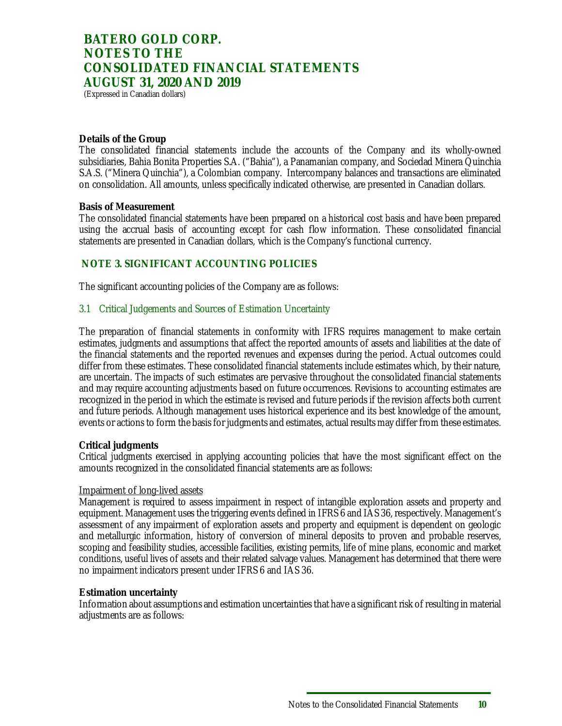(Expressed in Canadian dollars)

#### **Details of the Group**

The consolidated financial statements include the accounts of the Company and its wholly-owned subsidiaries, Bahia Bonita Properties S.A. ("Bahia"), a Panamanian company, and Sociedad Minera Quinchia S.A.S. ("Minera Quinchia"), a Colombian company. Intercompany balances and transactions are eliminated on consolidation. All amounts, unless specifically indicated otherwise, are presented in Canadian dollars.

#### **Basis of Measurement**

The consolidated financial statements have been prepared on a historical cost basis and have been prepared using the accrual basis of accounting except for cash flow information. These consolidated financial statements are presented in Canadian dollars, which is the Company's functional currency.

### **NOTE 3. SIGNIFICANT ACCOUNTING POLICIES**

The significant accounting policies of the Company are as follows:

#### 3.1 Critical Judgements and Sources of Estimation Uncertainty

The preparation of financial statements in conformity with IFRS requires management to make certain estimates, judgments and assumptions that affect the reported amounts of assets and liabilities at the date of the financial statements and the reported revenues and expenses during the period. Actual outcomes could differ from these estimates. These consolidated financial statements include estimates which, by their nature, are uncertain. The impacts of such estimates are pervasive throughout the consolidated financial statements and may require accounting adjustments based on future occurrences. Revisions to accounting estimates are recognized in the period in which the estimate is revised and future periods if the revision affects both current and future periods. Although management uses historical experience and its best knowledge of the amount, events or actions to form the basis for judgments and estimates, actual results may differ from these estimates.

#### **Critical judgments**

Critical judgments exercised in applying accounting policies that have the most significant effect on the amounts recognized in the consolidated financial statements are as follows:

#### Impairment of long-lived assets

Management is required to assess impairment in respect of intangible exploration assets and property and equipment. Management uses the triggering events defined in IFRS 6 and IAS 36, respectively. Management's assessment of any impairment of exploration assets and property and equipment is dependent on geologic and metallurgic information, history of conversion of mineral deposits to proven and probable reserves, scoping and feasibility studies, accessible facilities, existing permits, life of mine plans, economic and market conditions, useful lives of assets and their related salvage values. Management has determined that there were no impairment indicators present under IFRS 6 and IAS 36.

#### **Estimation uncertainty**

Information about assumptions and estimation uncertainties that have a significant risk of resulting in material adjustments are as follows: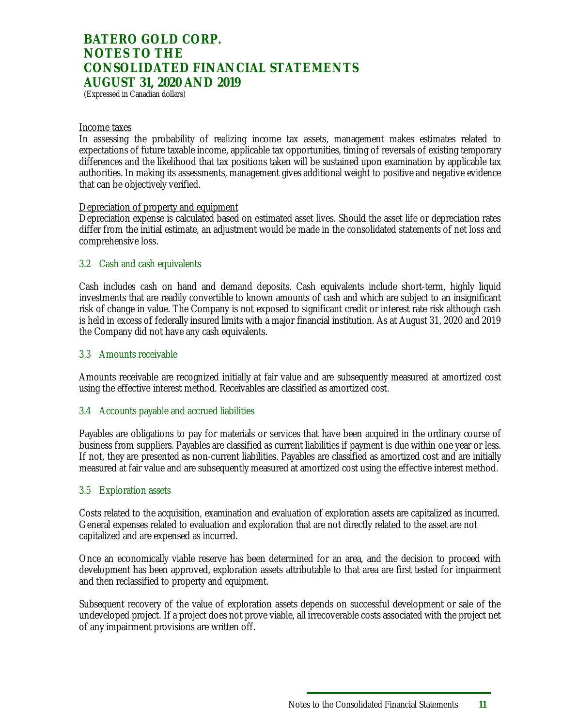(Expressed in Canadian dollars)

#### Income taxes

In assessing the probability of realizing income tax assets, management makes estimates related to expectations of future taxable income, applicable tax opportunities, timing of reversals of existing temporary differences and the likelihood that tax positions taken will be sustained upon examination by applicable tax authorities. In making its assessments, management gives additional weight to positive and negative evidence that can be objectively verified.

#### Depreciation of property and equipment

Depreciation expense is calculated based on estimated asset lives. Should the asset life or depreciation rates differ from the initial estimate, an adjustment would be made in the consolidated statements of net loss and comprehensive loss.

#### 3.2 Cash and cash equivalents

Cash includes cash on hand and demand deposits. Cash equivalents include short-term, highly liquid investments that are readily convertible to known amounts of cash and which are subject to an insignificant risk of change in value. The Company is not exposed to significant credit or interest rate risk although cash is held in excess of federally insured limits with a major financial institution. As at August 31, 2020 and 2019 the Company did not have any cash equivalents.

#### 3.3 Amounts receivable

Amounts receivable are recognized initially at fair value and are subsequently measured at amortized cost using the effective interest method. Receivables are classified as amortized cost.

#### 3.4 Accounts payable and accrued liabilities

Payables are obligations to pay for materials or services that have been acquired in the ordinary course of business from suppliers. Payables are classified as current liabilities if payment is due within one year or less. If not, they are presented as non-current liabilities. Payables are classified as amortized cost and are initially measured at fair value and are subsequently measured at amortized cost using the effective interest method.

#### 3.5 Exploration assets

Costs related to the acquisition, examination and evaluation of exploration assets are capitalized as incurred. General expenses related to evaluation and exploration that are not directly related to the asset are not capitalized and are expensed as incurred.

Once an economically viable reserve has been determined for an area, and the decision to proceed with development has been approved, exploration assets attributable to that area are first tested for impairment and then reclassified to property and equipment.

Subsequent recovery of the value of exploration assets depends on successful development or sale of the undeveloped project. If a project does not prove viable, all irrecoverable costs associated with the project net of any impairment provisions are written off.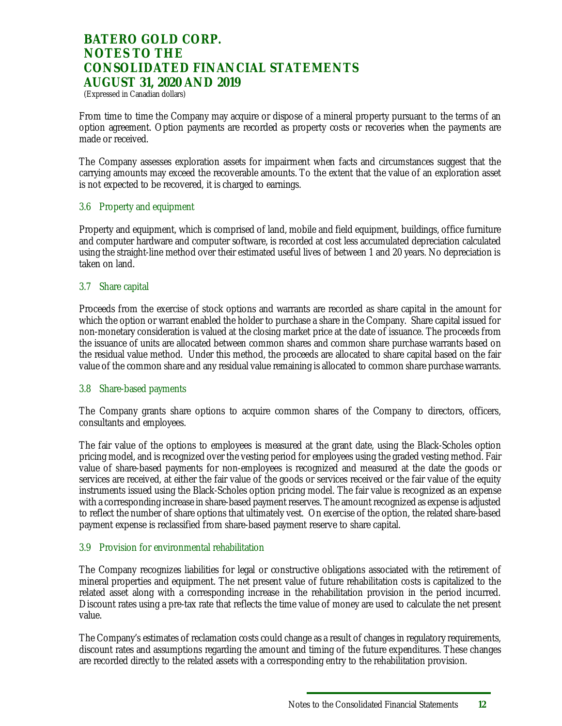(Expressed in Canadian dollars)

From time to time the Company may acquire or dispose of a mineral property pursuant to the terms of an option agreement. Option payments are recorded as property costs or recoveries when the payments are made or received.

The Company assesses exploration assets for impairment when facts and circumstances suggest that the carrying amounts may exceed the recoverable amounts. To the extent that the value of an exploration asset is not expected to be recovered, it is charged to earnings.

#### 3.6 Property and equipment

Property and equipment, which is comprised of land, mobile and field equipment, buildings, office furniture and computer hardware and computer software, is recorded at cost less accumulated depreciation calculated using the straight-line method over their estimated useful lives of between 1 and 20 years. No depreciation is taken on land.

#### 3.7 Share capital

Proceeds from the exercise of stock options and warrants are recorded as share capital in the amount for which the option or warrant enabled the holder to purchase a share in the Company. Share capital issued for non-monetary consideration is valued at the closing market price at the date of issuance. The proceeds from the issuance of units are allocated between common shares and common share purchase warrants based on the residual value method. Under this method, the proceeds are allocated to share capital based on the fair value of the common share and any residual value remaining is allocated to common share purchase warrants.

#### 3.8 Share-based payments

The Company grants share options to acquire common shares of the Company to directors, officers, consultants and employees.

The fair value of the options to employees is measured at the grant date, using the Black-Scholes option pricing model, and is recognized over the vesting period for employees using the graded vesting method. Fair value of share-based payments for non-employees is recognized and measured at the date the goods or services are received, at either the fair value of the goods or services received or the fair value of the equity instruments issued using the Black-Scholes option pricing model. The fair value is recognized as an expense with a corresponding increase in share-based payment reserves. The amount recognized as expense is adjusted to reflect the number of share options that ultimately vest. On exercise of the option, the related share-based payment expense is reclassified from share-based payment reserve to share capital.

#### 3.9 Provision for environmental rehabilitation

The Company recognizes liabilities for legal or constructive obligations associated with the retirement of mineral properties and equipment. The net present value of future rehabilitation costs is capitalized to the related asset along with a corresponding increase in the rehabilitation provision in the period incurred. Discount rates using a pre-tax rate that reflects the time value of money are used to calculate the net present value.

The Company's estimates of reclamation costs could change as a result of changes in regulatory requirements, discount rates and assumptions regarding the amount and timing of the future expenditures. These changes are recorded directly to the related assets with a corresponding entry to the rehabilitation provision.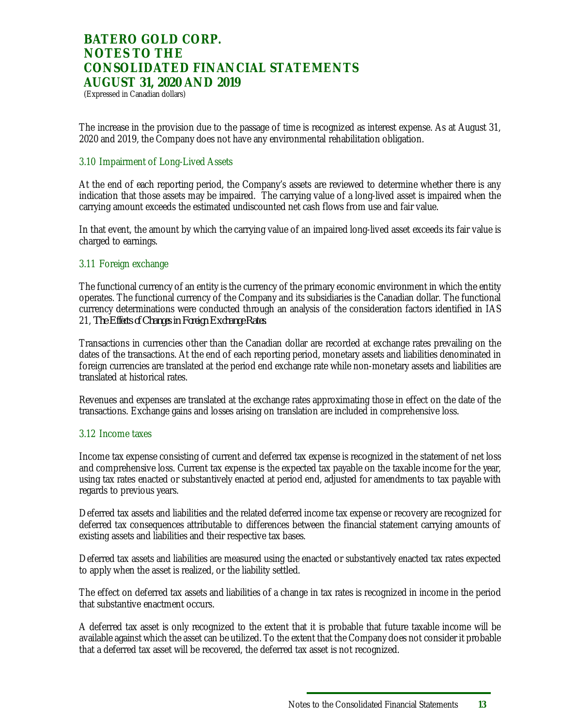(Expressed in Canadian dollars)

The increase in the provision due to the passage of time is recognized as interest expense. As at August 31, 2020 and 2019, the Company does not have any environmental rehabilitation obligation.

#### 3.10 Impairment of Long-Lived Assets

At the end of each reporting period, the Company's assets are reviewed to determine whether there is any indication that those assets may be impaired. The carrying value of a long-lived asset is impaired when the carrying amount exceeds the estimated undiscounted net cash flows from use and fair value.

In that event, the amount by which the carrying value of an impaired long-lived asset exceeds its fair value is charged to earnings.

#### 3.11 Foreign exchange

The functional currency of an entity is the currency of the primary economic environment in which the entity operates. The functional currency of the Company and its subsidiaries is the Canadian dollar. The functional currency determinations were conducted through an analysis of the consideration factors identified in IAS 21, *The Effects of Changes in Foreign Exchange Rates*.

Transactions in currencies other than the Canadian dollar are recorded at exchange rates prevailing on the dates of the transactions. At the end of each reporting period, monetary assets and liabilities denominated in foreign currencies are translated at the period end exchange rate while non-monetary assets and liabilities are translated at historical rates.

Revenues and expenses are translated at the exchange rates approximating those in effect on the date of the transactions. Exchange gains and losses arising on translation are included in comprehensive loss.

#### 3.12 Income taxes

Income tax expense consisting of current and deferred tax expense is recognized in the statement of net loss and comprehensive loss. Current tax expense is the expected tax payable on the taxable income for the year, using tax rates enacted or substantively enacted at period end, adjusted for amendments to tax payable with regards to previous years.

Deferred tax assets and liabilities and the related deferred income tax expense or recovery are recognized for deferred tax consequences attributable to differences between the financial statement carrying amounts of existing assets and liabilities and their respective tax bases.

Deferred tax assets and liabilities are measured using the enacted or substantively enacted tax rates expected to apply when the asset is realized, or the liability settled.

The effect on deferred tax assets and liabilities of a change in tax rates is recognized in income in the period that substantive enactment occurs.

A deferred tax asset is only recognized to the extent that it is probable that future taxable income will be available against which the asset can be utilized. To the extent that the Company does not consider it probable that a deferred tax asset will be recovered, the deferred tax asset is not recognized.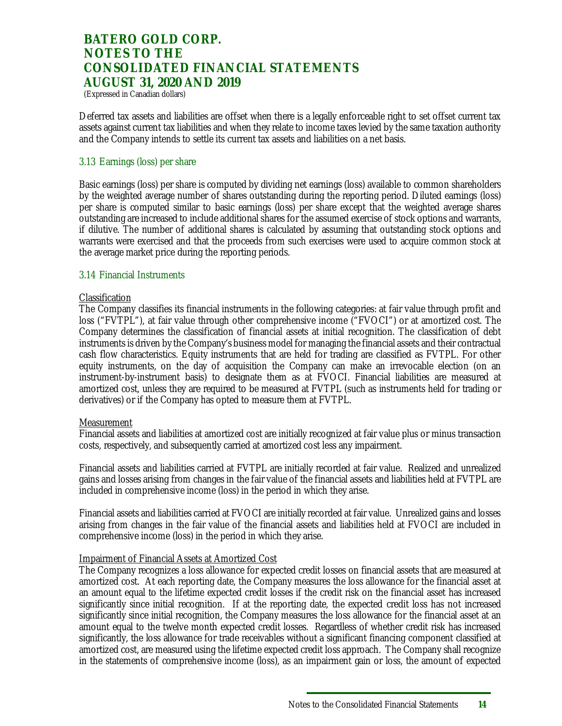(Expressed in Canadian dollars)

Deferred tax assets and liabilities are offset when there is a legally enforceable right to set offset current tax assets against current tax liabilities and when they relate to income taxes levied by the same taxation authority and the Company intends to settle its current tax assets and liabilities on a net basis.

#### 3.13 Earnings (loss) per share

Basic earnings (loss) per share is computed by dividing net earnings (loss) available to common shareholders by the weighted average number of shares outstanding during the reporting period. Diluted earnings (loss) per share is computed similar to basic earnings (loss) per share except that the weighted average shares outstanding are increased to include additional shares for the assumed exercise of stock options and warrants, if dilutive. The number of additional shares is calculated by assuming that outstanding stock options and warrants were exercised and that the proceeds from such exercises were used to acquire common stock at the average market price during the reporting periods.

#### 3.14 Financial Instruments

#### Classification

The Company classifies its financial instruments in the following categories: at fair value through profit and loss ("FVTPL"), at fair value through other comprehensive income ("FVOCI") or at amortized cost. The Company determines the classification of financial assets at initial recognition. The classification of debt instruments is driven by the Company's business model for managing the financial assets and their contractual cash flow characteristics. Equity instruments that are held for trading are classified as FVTPL. For other equity instruments, on the day of acquisition the Company can make an irrevocable election (on an instrument-by-instrument basis) to designate them as at FVOCI. Financial liabilities are measured at amortized cost, unless they are required to be measured at FVTPL (such as instruments held for trading or derivatives) or if the Company has opted to measure them at FVTPL.

#### **Measurement**

Financial assets and liabilities at amortized cost are initially recognized at fair value plus or minus transaction costs, respectively, and subsequently carried at amortized cost less any impairment.

Financial assets and liabilities carried at FVTPL are initially recorded at fair value. Realized and unrealized gains and losses arising from changes in the fair value of the financial assets and liabilities held at FVTPL are included in comprehensive income (loss) in the period in which they arise.

Financial assets and liabilities carried at FVOCI are initially recorded at fair value. Unrealized gains and losses arising from changes in the fair value of the financial assets and liabilities held at FVOCI are included in comprehensive income (loss) in the period in which they arise.

#### Impairment of Financial Assets at Amortized Cost

The Company recognizes a loss allowance for expected credit losses on financial assets that are measured at amortized cost. At each reporting date, the Company measures the loss allowance for the financial asset at an amount equal to the lifetime expected credit losses if the credit risk on the financial asset has increased significantly since initial recognition. If at the reporting date, the expected credit loss has not increased significantly since initial recognition, the Company measures the loss allowance for the financial asset at an amount equal to the twelve month expected credit losses. Regardless of whether credit risk has increased significantly, the loss allowance for trade receivables without a significant financing component classified at amortized cost, are measured using the lifetime expected credit loss approach. The Company shall recognize in the statements of comprehensive income (loss), as an impairment gain or loss, the amount of expected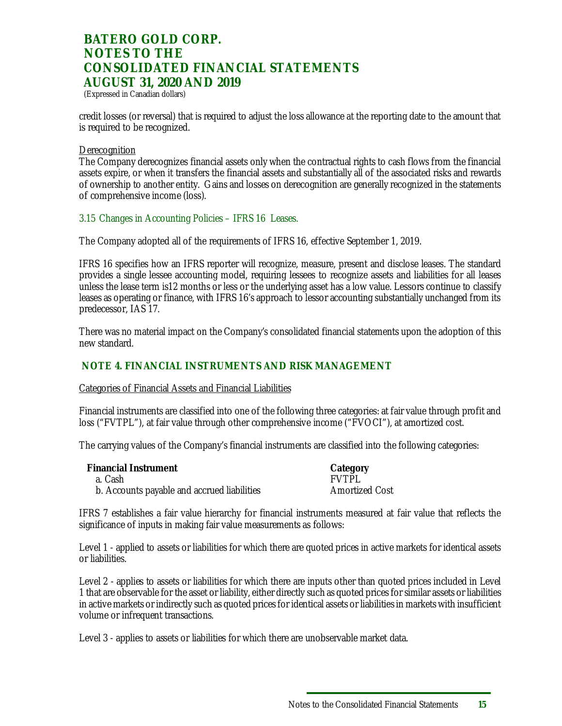(Expressed in Canadian dollars)

credit losses (or reversal) that is required to adjust the loss allowance at the reporting date to the amount that is required to be recognized.

#### **Derecognition**

The Company derecognizes financial assets only when the contractual rights to cash flows from the financial assets expire, or when it transfers the financial assets and substantially all of the associated risks and rewards of ownership to another entity. Gains and losses on derecognition are generally recognized in the statements of comprehensive income (loss).

3.15 Changes in Accounting Policies – IFRS 16 Leases.

The Company adopted all of the requirements of IFRS 16, effective September 1, 2019.

IFRS 16 specifies how an IFRS reporter will recognize, measure, present and disclose leases. The standard provides a single lessee accounting model, requiring lessees to recognize assets and liabilities for all leases unless the lease term is12 months or less or the underlying asset has a low value. Lessors continue to classify leases as operating or finance, with IFRS 16's approach to lessor accounting substantially unchanged from its predecessor, IAS 17.

There was no material impact on the Company's consolidated financial statements upon the adoption of this new standard.

### **NOTE 4. FINANCIAL INSTRUMENTS AND RISK MANAGEMENT**

Categories of Financial Assets and Financial Liabilities

Financial instruments are classified into one of the following three categories: at fair value through profit and loss ("FVTPL"), at fair value through other comprehensive income ("FVOCI"), at amortized cost.

The carrying values of the Company's financial instruments are classified into the following categories:

| <b>Financial Instrument</b>                 | Category              |
|---------------------------------------------|-----------------------|
| a. Cashi                                    | <b>FVTPL</b>          |
| b. Accounts payable and accrued liabilities | <b>Amortized Cost</b> |

IFRS 7 establishes a fair value hierarchy for financial instruments measured at fair value that reflects the significance of inputs in making fair value measurements as follows:

Level 1 - applied to assets or liabilities for which there are quoted prices in active markets for identical assets or liabilities.

Level 2 - applies to assets or liabilities for which there are inputs other than quoted prices included in Level 1 that are observable for the asset or liability, either directly such as quoted prices for similar assets or liabilities in active markets or indirectly such as quoted prices for identical assets or liabilities in markets with insufficient volume or infrequent transactions.

Level 3 - applies to assets or liabilities for which there are unobservable market data.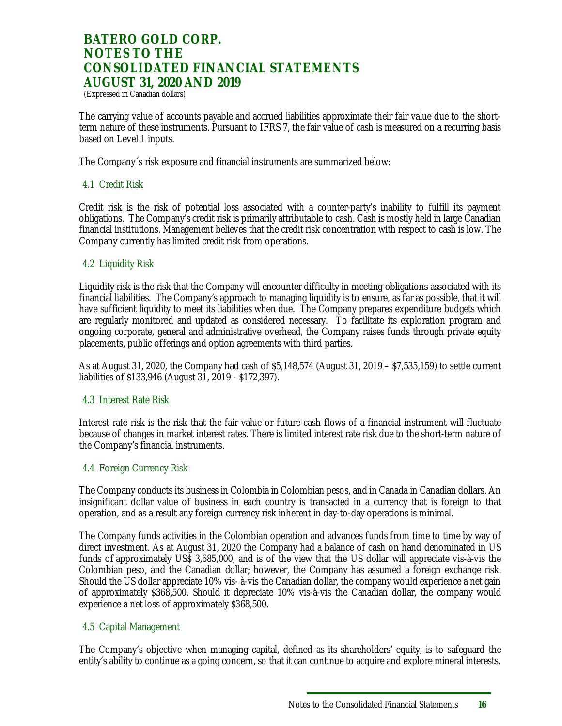(Expressed in Canadian dollars)

The carrying value of accounts payable and accrued liabilities approximate their fair value due to the shortterm nature of these instruments. Pursuant to IFRS 7, the fair value of cash is measured on a recurring basis based on Level 1 inputs.

The Company´s risk exposure and financial instruments are summarized below:

#### 4.1 Credit Risk

Credit risk is the risk of potential loss associated with a counter-party's inability to fulfill its payment obligations. The Company's credit risk is primarily attributable to cash. Cash is mostly held in large Canadian financial institutions. Management believes that the credit risk concentration with respect to cash is low. The Company currently has limited credit risk from operations.

#### 4.2 Liquidity Risk

Liquidity risk is the risk that the Company will encounter difficulty in meeting obligations associated with its financial liabilities. The Company's approach to managing liquidity is to ensure, as far as possible, that it will have sufficient liquidity to meet its liabilities when due. The Company prepares expenditure budgets which are regularly monitored and updated as considered necessary. To facilitate its exploration program and ongoing corporate, general and administrative overhead, the Company raises funds through private equity placements, public offerings and option agreements with third parties.

As at August 31, 2020, the Company had cash of \$5,148,574 (August 31, 2019 – \$7,535,159) to settle current liabilities of \$133,946 (August 31, 2019 - \$172,397).

#### 4.3 Interest Rate Risk

Interest rate risk is the risk that the fair value or future cash flows of a financial instrument will fluctuate because of changes in market interest rates. There is limited interest rate risk due to the short-term nature of the Company's financial instruments.

#### 4.4 Foreign Currency Risk

The Company conducts its business in Colombia in Colombian pesos, and in Canada in Canadian dollars. An insignificant dollar value of business in each country is transacted in a currency that is foreign to that operation, and as a result any foreign currency risk inherent in day-to-day operations is minimal.

The Company funds activities in the Colombian operation and advances funds from time to time by way of direct investment. As at August 31, 2020 the Company had a balance of cash on hand denominated in US funds of approximately US\$ 3,685,000, and is of the view that the US dollar will appreciate vis-à-vis the Colombian peso, and the Canadian dollar; however, the Company has assumed a foreign exchange risk. Should the US dollar appreciate 10% vis- à-vis the Canadian dollar, the company would experience a net gain of approximately \$368,500. Should it depreciate 10% vis-à-vis the Canadian dollar, the company would experience a net loss of approximately \$368,500.

#### 4.5 Capital Management

The Company's objective when managing capital, defined as its shareholders' equity, is to safeguard the entity's ability to continue as a going concern, so that it can continue to acquire and explore mineral interests.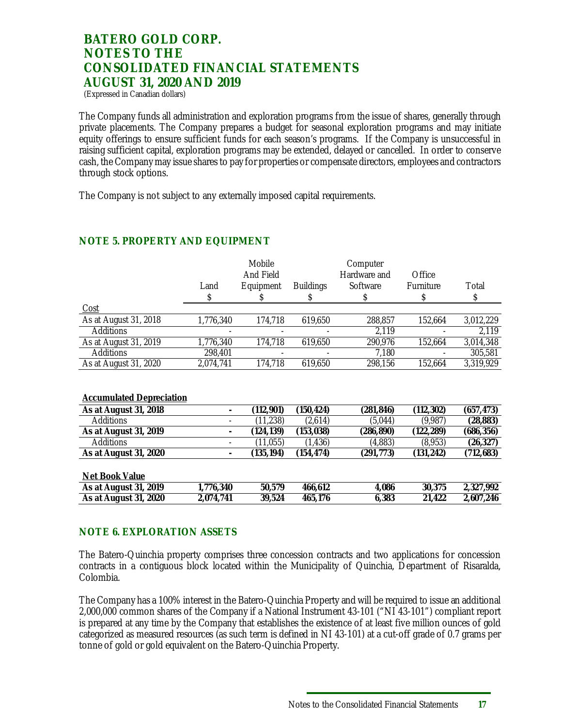(Expressed in Canadian dollars)

The Company funds all administration and exploration programs from the issue of shares, generally through private placements. The Company prepares a budget for seasonal exploration programs and may initiate equity offerings to ensure sufficient funds for each season's programs. If the Company is unsuccessful in raising sufficient capital, exploration programs may be extended, delayed or cancelled. In order to conserve cash, the Company may issue shares to pay for properties or compensate directors, employees and contractors through stock options.

The Company is not subject to any externally imposed capital requirements.

|                                 |           | Mobile<br>And Field |                  | Computer<br>Hardware and | Office     |            |
|---------------------------------|-----------|---------------------|------------------|--------------------------|------------|------------|
|                                 | Land      | Equipment           | <b>Buildings</b> | Software                 | Furniture  | Total      |
|                                 | \$        |                     | S                | \$                       | S          | \$         |
| Cost                            |           |                     |                  |                          |            |            |
| As at August 31, 2018           | 1,776,340 | 174,718             | 619,650          | 288,857                  | 152,664    | 3,012,229  |
| Additions                       |           |                     |                  | 2,119                    |            | 2,119      |
| As at August 31, 2019           | 1,776,340 | 174,718             | 619,650          | 290,976                  | 152,664    | 3,014,348  |
| Additions                       | 298,401   |                     |                  | 7,180                    |            | 305,581    |
| As at August 31, 2020           | 2,074,741 | 174,718             | 619,650          | 298,156                  | 152,664    | 3,319,929  |
| <b>Accumulated Depreciation</b> |           |                     |                  |                          |            |            |
| As at August 31, 2018           |           | (112, 901)          | (150, 424)       | (281, 846)               | (112, 302) | (657, 473) |
| Additions                       |           | (11, 238)           | (2,614)          | (5,044)                  | (9,987)    | (28, 883)  |
| As at August 31, 2019           |           | (124, 139)          | (153,038)        | (286,890)                | (122,289)  | (686,356)  |
| Additions                       |           | (11,055)            | (1, 436)         | (4,883)                  | (8,953)    | (26, 327)  |
| As at August 31, 2020           |           | (135, 194)          | (154, 474)       | (291,773)                | (131, 242) | (712, 683) |
| Net Book Value                  |           |                     |                  |                          |            |            |
| As at August 31, 2019           | 1,776,340 | 50,579              | 466,612          | 4,086                    | 30,375     | 2,327,992  |
| As at August 31, 2020           | 2,074,741 | 39,524              | 465,176          | 6,383                    | 21,422     | 2,607,246  |

### **NOTE 5. PROPERTY AND EQUIPMENT**

## **NOTE 6. EXPLORATION ASSETS**

The Batero-Quinchia property comprises three concession contracts and two applications for concession contracts in a contiguous block located within the Municipality of Quinchia, Department of Risaralda, Colombia.

The Company has a 100% interest in the Batero-Quinchia Property and will be required to issue an additional 2,000,000 common shares of the Company if a National Instrument 43-101 ("NI 43-101") compliant report is prepared at any time by the Company that establishes the existence of at least five million ounces of gold categorized as measured resources (as such term is defined in NI 43-101) at a cut-off grade of 0.7 grams per tonne of gold or gold equivalent on the Batero-Quinchia Property.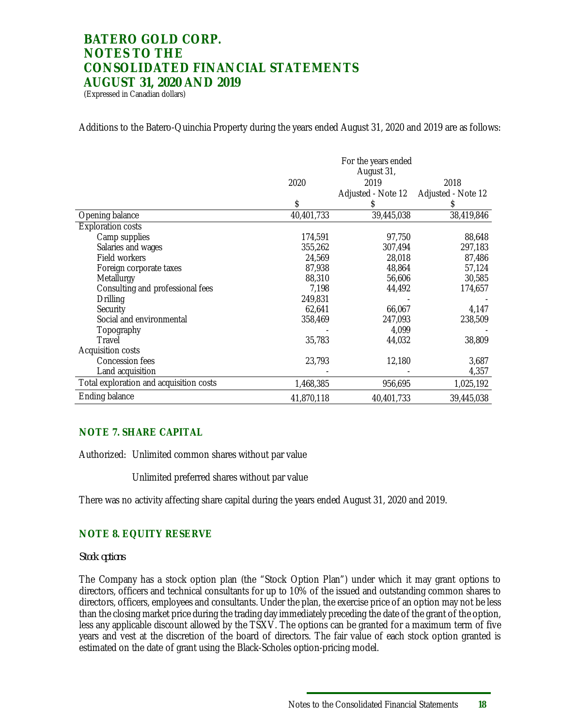(Expressed in Canadian dollars)

Additions to the Batero-Quinchia Property during the years ended August 31, 2020 and 2019 are as follows:

|                                         |            | For the years ended<br>August 31, |                    |
|-----------------------------------------|------------|-----------------------------------|--------------------|
|                                         | 2020       | 2019                              | 2018               |
|                                         |            | Adjusted - Note 12                | Adjusted - Note 12 |
|                                         | \$         |                                   |                    |
| Opening balance                         | 40,401,733 | 39,445,038                        | 38,419,846         |
| <b>Exploration costs</b>                |            |                                   |                    |
| Camp supplies                           | 174,591    | 97,750                            | 88,648             |
| Salaries and wages                      | 355,262    | 307,494                           | 297,183            |
| Field workers                           | 24,569     | 28,018                            | 87,486             |
| Foreign corporate taxes                 | 87,938     | 48,864                            | 57,124             |
| Metallurgy                              | 88,310     | 56,606                            | 30,585             |
| Consulting and professional fees        | 7,198      | 44,492                            | 174,657            |
| Drilling                                | 249,831    |                                   |                    |
| Security                                | 62,641     | 66,067                            | 4,147              |
| Social and environmental                | 358,469    | 247,093                           | 238,509            |
| Topography                              |            | 4,099                             |                    |
| Travel                                  | 35,783     | 44,032                            | 38,809             |
| <b>Acquisition costs</b>                |            |                                   |                    |
| <b>Concession fees</b>                  | 23,793     | 12,180                            | 3,687              |
| Land acquisition                        |            |                                   | 4,357              |
| Total exploration and acquisition costs | 1,468,385  | 956,695                           | 1,025,192          |
| Ending balance                          | 41,870,118 | 40,401,733                        | 39,445,038         |

### **NOTE 7. SHARE CAPITAL**

Authorized: Unlimited common shares without par value

Unlimited preferred shares without par value

There was no activity affecting share capital during the years ended August 31, 2020 and 2019.

### **NOTE 8. EQUITY RESERVE**

#### *Stock options*

The Company has a stock option plan (the "Stock Option Plan") under which it may grant options to directors, officers and technical consultants for up to 10% of the issued and outstanding common shares to directors, officers, employees and consultants. Under the plan, the exercise price of an option may not be less than the closing market price during the trading day immediately preceding the date of the grant of the option, less any applicable discount allowed by the TSXV. The options can be granted for a maximum term of five years and vest at the discretion of the board of directors. The fair value of each stock option granted is estimated on the date of grant using the Black-Scholes option-pricing model.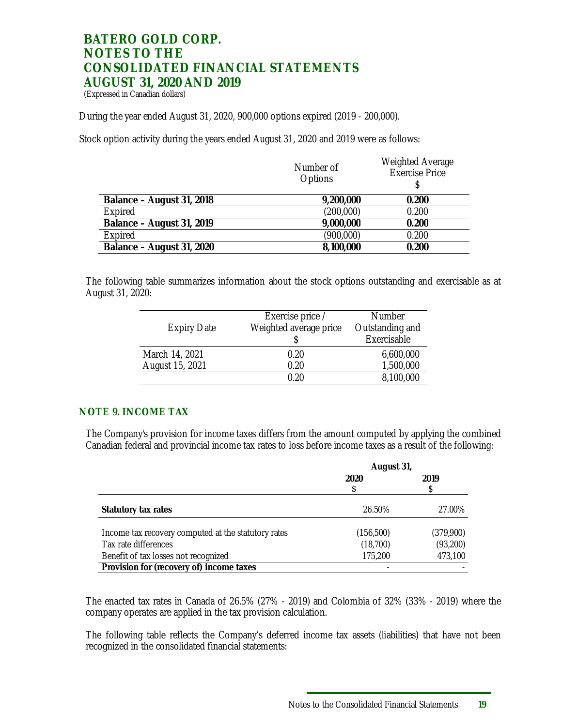(Expressed in Canadian dollars)

During the year ended August 31, 2020, 900,000 options expired (2019 - 200,000).

Stock option activity during the years ended August 31, 2020 and 2019 were as follows:

|                           | Number of<br><b>Options</b> | <b>Weighted Average</b><br><b>Exercise Price</b> |
|---------------------------|-----------------------------|--------------------------------------------------|
| Balance - August 31, 2018 | 9,200,000                   | 0.200                                            |
| Expired                   | (200,000)                   | 0.200                                            |
| Balance - August 31, 2019 | 9,000,000                   | 0.200                                            |
| Expired                   | (900,000)                   | 0.200                                            |
| Balance – August 31, 2020 | 8,100,000                   | 0.200                                            |

The following table summarizes information about the stock options outstanding and exercisable as at August 31, 2020:

| <b>Expiry Date</b> | Exercise price /<br>Weighted average price | <b>Number</b><br>Outstanding and |
|--------------------|--------------------------------------------|----------------------------------|
|                    |                                            | Exercisable                      |
| March 14, 2021     | 0.20                                       | 6,600,000                        |
| August 15, 2021    | 0.20                                       | 1,500,000                        |
|                    | በ  ንበ                                      | 8,100,000                        |

#### **NOTE 9. INCOME TAX**

The Company's provision for income taxes differs from the amount computed by applying the combined Canadian federal and provincial income tax rates to loss before income taxes as a result of the following:

|                                                     | August 31, |           |
|-----------------------------------------------------|------------|-----------|
|                                                     | 2020       | 2019      |
|                                                     |            |           |
| Statutory tax rates                                 | 26.50%     | 27.00%    |
| Income tax recovery computed at the statutory rates | (156, 500) | (379,900) |
| Tax rate differences                                | (18,700)   | (93,200)  |
| Benefit of tax losses not recognized                | 175,200    | 473,100   |
| Provision for (recovery of) income taxes            |            |           |

The enacted tax rates in Canada of 26.5% (27% - 2019) and Colombia of 32% (33% - 2019) where the company operates are applied in the tax provision calculation.

The following table reflects the Company's deferred income tax assets (liabilities) that have not been recognized in the consolidated financial statements: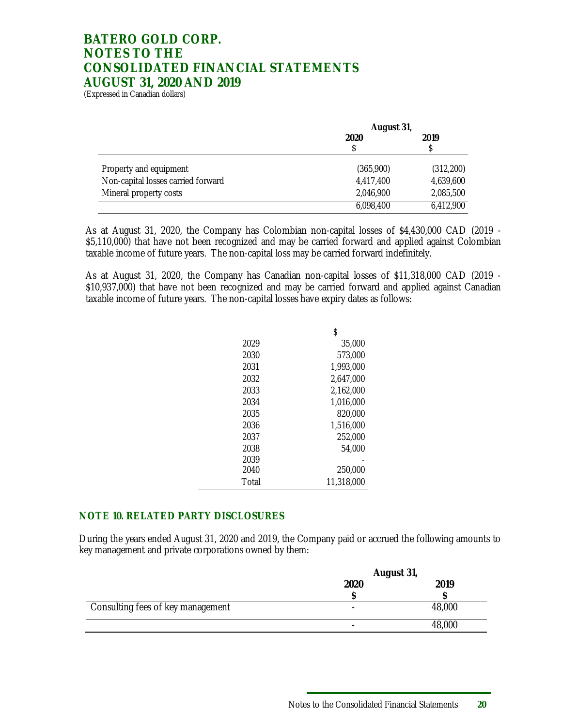(Expressed in Canadian dollars)

|                                    | August 31,   |           |  |
|------------------------------------|--------------|-----------|--|
|                                    | 2020<br>2019 |           |  |
|                                    |              |           |  |
|                                    |              |           |  |
| Property and equipment             | (365,900)    | (312,200) |  |
| Non-capital losses carried forward | 4,417,400    | 4,639,600 |  |
| Mineral property costs             | 2,046,900    | 2,085,500 |  |
|                                    | 6,098,400    | 6,412,900 |  |

As at August 31, 2020, the Company has Colombian non-capital losses of \$4,430,000 CAD (2019 - \$5,110,000) that have not been recognized and may be carried forward and applied against Colombian taxable income of future years. The non-capital loss may be carried forward indefinitely.

As at August 31, 2020, the Company has Canadian non-capital losses of \$11,318,000 CAD (2019 - \$10,937,000) that have not been recognized and may be carried forward and applied against Canadian taxable income of future years. The non-capital losses have expiry dates as follows:

|       | \$         |
|-------|------------|
| 2029  | 35,000     |
| 2030  | 573,000    |
| 2031  | 1,993,000  |
| 2032  | 2.647.000  |
| 2033  | 2.162.000  |
| 2034  | 1,016,000  |
| 2035  | 820,000    |
| 2036  | 1,516,000  |
| 2037  | 252,000    |
| 2038  | 54,000     |
| 2039  |            |
| 2040  | 250,000    |
| Total | 11,318,000 |

### **NOTE 10. RELATED PARTY DISCLOSURES**

During the years ended August 31, 2020 and 2019, the Company paid or accrued the following amounts to key management and private corporations owned by them:

|                                   | August 31,               |        |
|-----------------------------------|--------------------------|--------|
|                                   | 2020                     | 2019   |
|                                   |                          |        |
| Consulting fees of key management | $\overline{\phantom{0}}$ | 48,000 |
|                                   |                          | 48,000 |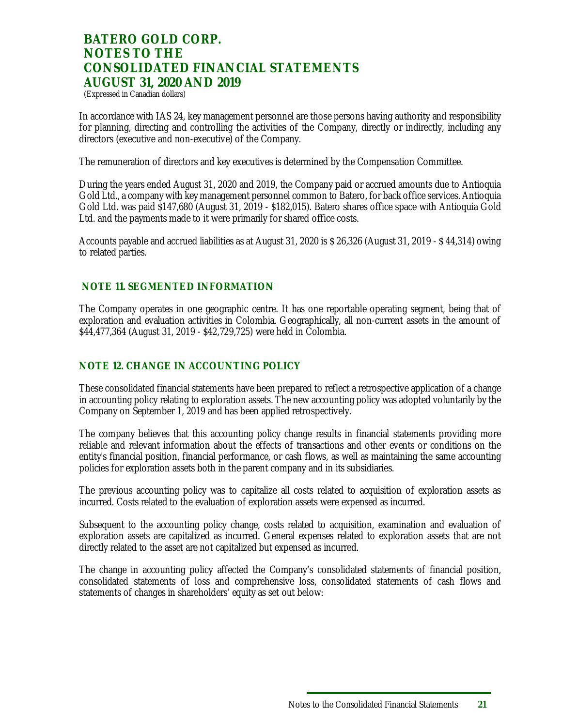(Expressed in Canadian dollars)

In accordance with IAS 24, key management personnel are those persons having authority and responsibility for planning, directing and controlling the activities of the Company, directly or indirectly, including any directors (executive and non-executive) of the Company.

The remuneration of directors and key executives is determined by the Compensation Committee.

During the years ended August 31, 2020 and 2019, the Company paid or accrued amounts due to Antioquia Gold Ltd., a company with key management personnel common to Batero, for back office services. Antioquia Gold Ltd. was paid \$147,680 (August 31, 2019 - \$182,015). Batero shares office space with Antioquia Gold Ltd. and the payments made to it were primarily for shared office costs.

Accounts payable and accrued liabilities as at August 31, 2020 is \$ 26,326 (August 31, 2019 - \$ 44,314) owing to related parties.

#### **NOTE 11. SEGMENTED INFORMATION**

The Company operates in one geographic centre. It has one reportable operating segment, being that of exploration and evaluation activities in Colombia. Geographically, all non-current assets in the amount of \$44,477,364 (August 31, 2019 - \$42,729,725) were held in Colombia.

### **NOTE 12. CHANGE IN ACCOUNTING POLICY**

These consolidated financial statements have been prepared to reflect a retrospective application of a change in accounting policy relating to exploration assets. The new accounting policy was adopted voluntarily by the Company on September 1, 2019 and has been applied retrospectively.

The company believes that this accounting policy change results in financial statements providing more reliable and relevant information about the effects of transactions and other events or conditions on the entity's financial position, financial performance, or cash flows, as well as maintaining the same accounting policies for exploration assets both in the parent company and in its subsidiaries.

The previous accounting policy was to capitalize all costs related to acquisition of exploration assets as incurred. Costs related to the evaluation of exploration assets were expensed as incurred.

Subsequent to the accounting policy change, costs related to acquisition, examination and evaluation of exploration assets are capitalized as incurred. General expenses related to exploration assets that are not directly related to the asset are not capitalized but expensed as incurred.

The change in accounting policy affected the Company's consolidated statements of financial position, consolidated statements of loss and comprehensive loss, consolidated statements of cash flows and statements of changes in shareholders' equity as set out below: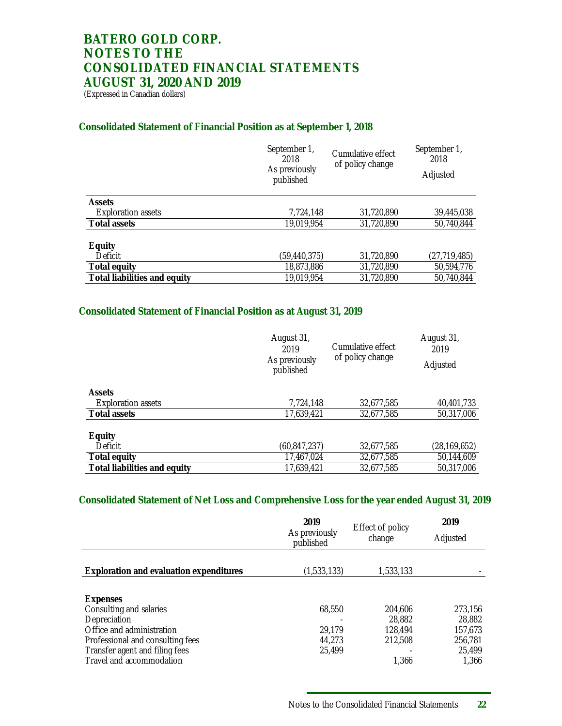(Expressed in Canadian dollars)

### **Consolidated Statement of Financial Position as at September 1, 2018**

|                              | September 1,<br>2018<br>As previously<br>published | Cumulative effect<br>of policy change | September 1,<br>2018<br>Adjusted |
|------------------------------|----------------------------------------------------|---------------------------------------|----------------------------------|
| Assets                       |                                                    |                                       |                                  |
| <b>Exploration assets</b>    | 7,724,148                                          | 31,720,890                            | 39,445,038                       |
| Total assets                 | 19,019,954                                         | 31,720,890                            | 50,740,844                       |
| Equity<br>Deficit            | (59, 440, 375)                                     | 31,720,890                            | (27, 719, 485)                   |
| Total equity                 | 18,873,886                                         | 31,720,890                            | 50,594,776                       |
| Total liabilities and equity | 19,019,954                                         | 31,720,890                            | 50,740,844                       |

### **Consolidated Statement of Financial Position as at August 31, 2019**

|                              | August 31,<br>2019<br>As previously<br>published | Cumulative effect<br>of policy change | August 31,<br>2019<br>Adjusted |
|------------------------------|--------------------------------------------------|---------------------------------------|--------------------------------|
| Assets                       |                                                  |                                       |                                |
| <b>Exploration assets</b>    | 7,724,148                                        | 32,677,585                            | 40,401,733                     |
| Total assets                 | 17,639,421                                       | 32,677,585                            | 50,317,006                     |
| Equity                       |                                                  |                                       |                                |
| Deficit                      | (60, 847, 237)                                   | 32,677,585                            | (28, 169, 652)                 |
| Total equity                 | 17,467,024                                       | 32,677,585                            | 50,144,609                     |
| Total liabilities and equity | 17,639,421                                       | 32,677,585                            | 50,317,006                     |

### **Consolidated Statement of Net Loss and Comprehensive Loss for the year ended August 31, 2019**

|                                                                                                                                                                                    | 2019<br>As previously<br>published   | Effect of policy<br>change                       | 2019<br>Adjusted                                           |
|------------------------------------------------------------------------------------------------------------------------------------------------------------------------------------|--------------------------------------|--------------------------------------------------|------------------------------------------------------------|
| Exploration and evaluation expenditures                                                                                                                                            | (1,533,133)                          | 1,533,133                                        |                                                            |
| Expenses<br>Consulting and salaries<br>Depreciation<br>Office and administration<br>Professional and consulting fees<br>Transfer agent and filing fees<br>Travel and accommodation | 68.550<br>29.179<br>44.273<br>25,499 | 204.606<br>28.882<br>128,494<br>212,508<br>1.366 | 273,156<br>28,882<br>157,673<br>256,781<br>25,499<br>1.366 |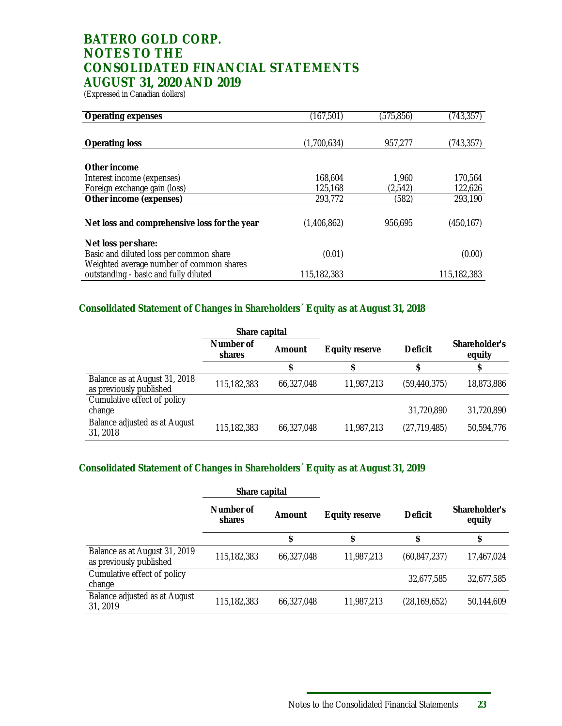(Expressed in Canadian dollars)

| Operating expenses                           | (167, 501)  | (575, 856) | (743, 357)  |
|----------------------------------------------|-------------|------------|-------------|
|                                              |             |            |             |
| Operating loss                               | (1,700,634) | 957,277    | (743, 357)  |
|                                              |             |            |             |
| Other income                                 |             |            |             |
| Interest income (expenses)                   | 168,604     | 1,960      | 170,564     |
| Foreign exchange gain (loss)                 | 125,168     | (2,542)    | 122,626     |
| Other income (expenses)                      | 293,772     | (582)      | 293,190     |
|                                              |             |            |             |
| Net loss and comprehensive loss for the year | (1,406,862) | 956.695    | (450, 167)  |
|                                              |             |            |             |
| Net loss per share:                          |             |            |             |
| Basic and diluted loss per common share      | (0.01)      |            | (0.00)      |
| Weighted average number of common shares     |             |            |             |
| outstanding - basic and fully diluted        | 115,182,383 |            | 115,182,383 |

### **Consolidated Statement of Changes in Shareholders´ Equity as at August 31, 2018**

|                                                          | Share capital       |            |                |                |                         |
|----------------------------------------------------------|---------------------|------------|----------------|----------------|-------------------------|
|                                                          | Number of<br>shares | Amount     | Equity reserve | Deficit        | Shareholder's<br>equity |
|                                                          |                     |            |                |                |                         |
| Balance as at August 31, 2018<br>as previously published | 115,182,383         | 66,327,048 | 11,987,213     | (59, 440, 375) | 18,873,886              |
| Cumulative effect of policy                              |                     |            |                |                |                         |
| change                                                   |                     |            |                | 31,720,890     | 31,720,890              |
| Balance adjusted as at August<br>31, 2018                | 115,182,383         | 66,327,048 | 11,987,213     | (27, 719, 485) | 50,594,776              |

### **Consolidated Statement of Changes in Shareholders´ Equity as at August 31, 2019**

|                                                          | Share capital       |            |                |                |                         |
|----------------------------------------------------------|---------------------|------------|----------------|----------------|-------------------------|
|                                                          | Number of<br>shares | Amount     | Equity reserve | Deficit        | Shareholder's<br>equity |
|                                                          |                     |            |                | ¢              | σ                       |
| Balance as at August 31, 2019<br>as previously published | 115,182,383         | 66.327.048 | 11,987,213     | (60, 847, 237) | 17,467,024              |
| Cumulative effect of policy<br>change                    |                     |            |                | 32,677,585     | 32,677,585              |
| Balance adjusted as at August<br>31, 2019                | 115,182,383         | 66,327,048 | 11,987,213     | (28, 169, 652) | 50,144,609              |